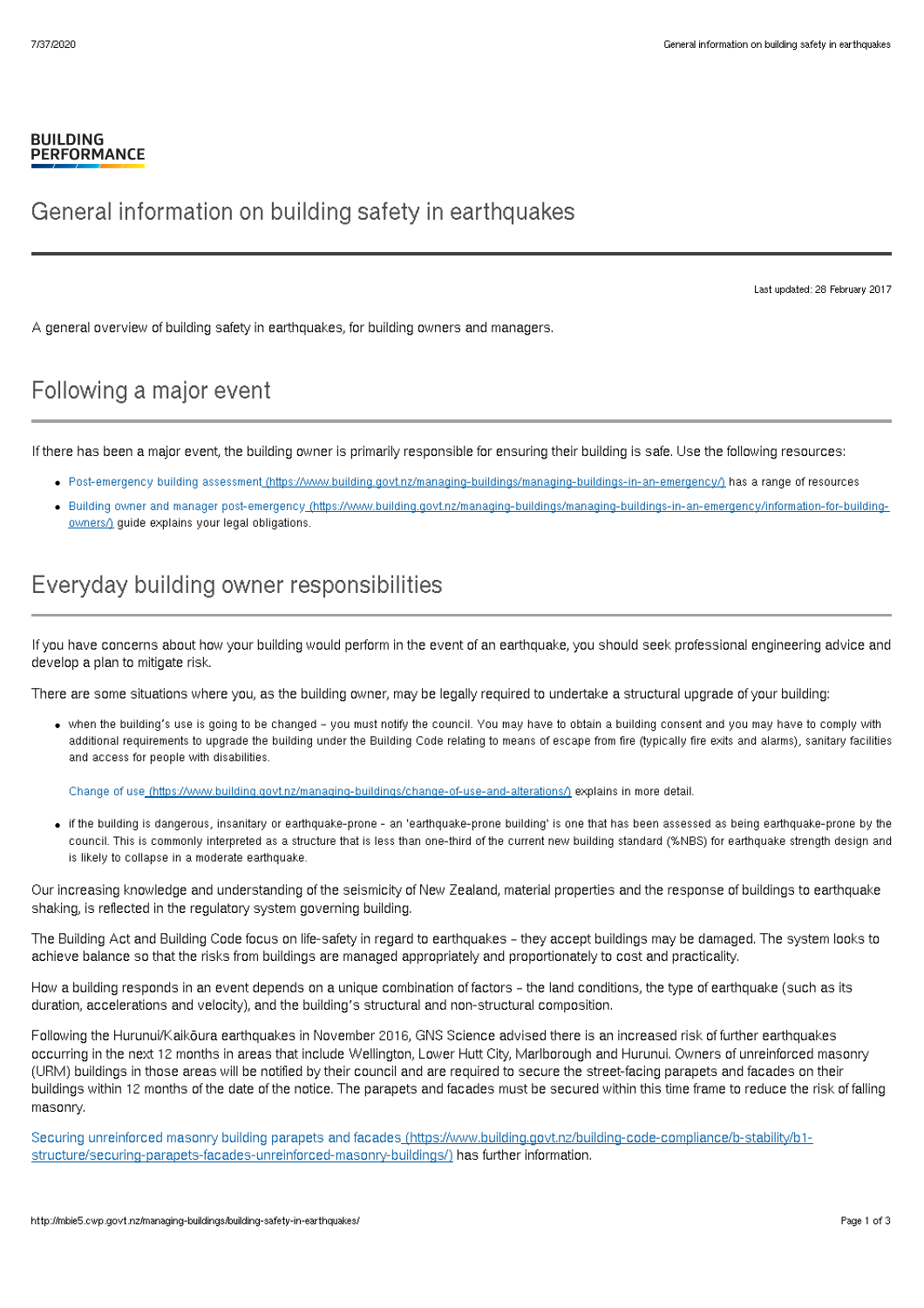#### **BUILDING PERFORMANCE**

### General information on building safety in earthquakes

Last updated: 28 February 2017

A general overview of building safety in earthquakes, for building owners and managers.

### Following a major event

If there has been a major event, the building owner is primarily responsible for ensuring their building is safe. Use the following resources:

- Post-emergency building assessment [\(https://www.building.govt.nz/managing-buildings/managing-buildings-in-an-emergency/\)](http://mbie5.cwp.govt.nz/managing-buildings/managing-buildings-in-an-emergency/) has a range of resources
- Building owner and manager post-emergency [\(https://www.building.govt.nz/managing-buildings/managing-buildings-in-an-emergency/information-for-building](http://mbie5.cwp.govt.nz/managing-buildings/managing-buildings-in-an-emergency/information-for-building-owners/)owners/) guide explains your legal obligations.

## Everyday building owner responsibilities

If you have concerns about how your building would perform in the event of an earthquake, you should seek professional engineering advice and develop a plan to mitigate risk.

There are some situations where you, as the building owner, may be legally required to undertake a structural upgrade of your building:

when the building's use is going to be changed – you must notify the council. You may have to obtain a building consent and you may have to comply with additional requirements to upgrade the building under the Building Code relating to means of escape from fire (typically fire exits and alarms), sanitary facilities and access for people with disabilities.

Change of use [\(https://www.building.govt.nz/managing-buildings/change-of-use-and-alterations/\)](http://mbie5.cwp.govt.nz/managing-buildings/change-of-use-and-alterations/) explains in more detail.

if the building is dangerous, insanitary or earthquake-prone - an 'earthquake-prone building' is one that has been assessed as being earthquake-prone by the council. This is commonly interpreted as a structure that is less than one-third of the current new building standard (%NBS) for earthquake strength design and is likely to collapse in a moderate earthquake.

Our increasing knowledge and understanding of the seismicity of New Zealand, material properties and the response of buildings to earthquake shaking, is reflected in the regulatory system governing building.

The Building Act and Building Code focus on life-safety in regard to earthquakes – they accept buildings may be damaged. The system looks to achieve balance so that the risks from buildings are managed appropriately and proportionately to cost and practicality.

How a building responds in an event depends on a unique combination of factors – the land conditions, the type of earthquake (such as its duration, accelerations and velocity), and the building's structural and non-structural composition.

Following the Hurunui/Kaikōura earthquakes in November 2016, GNS Science advised there is an increased risk of further earthquakes occurring in the next 12 months in areas that include Wellington, Lower Hutt City, Marlborough and Hurunui. Owners of unreinforced masonry (URM) buildings in those areas will be notified by their council and are required to secure the street-facing parapets and facades on their buildings within 12 months of the date of the notice. The parapets and facades must be secured within this time frame to reduce the risk of falling masonry.

Securing unreinforced masonry building parapets and facades [\(https://www.building.govt.nz/building-code-compliance/b-stability/b1](http://mbie5.cwp.govt.nz/building-code-compliance/b-stability/b1-structure/securing-parapets-facades-unreinforced-masonry-buildings/) structure/securing-parapets-facades-unreinforced-masonry-buildings/) has further information.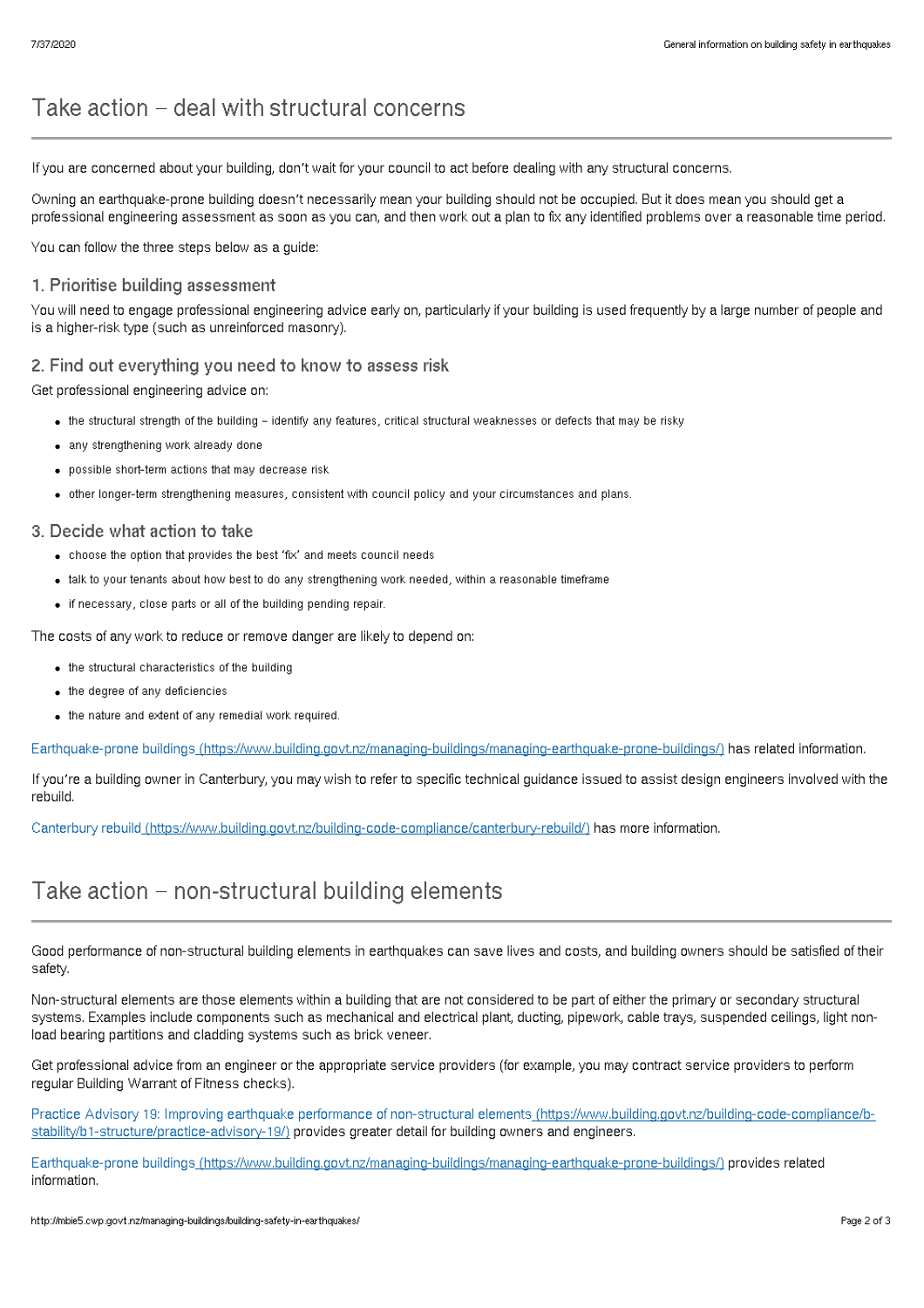# Take action – deal with structural concerns

If you are concerned about your building, don't wait for your council to act before dealing with any structural concerns.

Owning an earthquake-prone building doesn't necessarily mean your building should not be occupied. But it does mean you should get a professional engineering assessment as soon as you can, and then work out a plan to fix any identified problems over a reasonable time period.

You can follow the three steps below as a guide:

### 1. Prioritise building assessment

You will need to engage professional engineering advice early on, particularly if your building is used frequently by a large number of people and is a higher-risk type (such as unreinforced masonry).

#### 2. Find out everything you need to know to assess risk

Get professional engineering advice on:

- the structural strength of the building identify any features, critical structural weaknesses or defects that may be risky
- any strengthening work already done
- possible short-term actions that may decrease risk
- other longer-term strengthening measures, consistent with council policy and your circumstances and plans.

#### 3. Decide what action to take

- choose the option that provides the best 'fix' and meets council needs
- talk to your tenants about how best to do any strengthening work needed, within a reasonable timeframe
- if necessary, close parts or all of the building pending repair.

The costs of any work to reduce or remove danger are likely to depend on:

- the structural characteristics of the building
- the degree of any deficiencies
- $\bullet$  the nature and extent of any remedial work required.

Earthquake-prone buildings [\(https://www.building.govt.nz/managing-buildings/managing-earthquake-prone-buildings/\)](http://mbie5.cwp.govt.nz/managing-buildings/managing-earthquake-prone-buildings/) has related information.

If you're a building owner in Canterbury, you may wish to refer to specific technical guidance issued to assist design engineers involved with the rebuild.

Canterbury rebuild [\(https://www.building.govt.nz/building-code-compliance/canterbury-rebuild/\)](http://mbie5.cwp.govt.nz/building-code-compliance/canterbury-rebuild/) has more information.

### Take action – non-structural building elements

Good performance of non-structural building elements in earthquakes can save lives and costs, and building owners should be satisfied of their safety.

Non-structural elements are those elements within a building that are not considered to be part of either the primary or secondary structural systems. Examples include components such as mechanical and electrical plant, ducting, pipework, cable trays, suspended ceilings, light nonload bearing partitions and cladding systems such as brick veneer.

Get professional advice from an engineer or the appropriate service providers (for example, you may contract service providers to perform regular Building Warrant of Fitness checks).

Practice Advisory 19: Improving earthquake performance of non-structural elements [\(https://www.building.govt.nz/building-code-compliance/b](http://mbie5.cwp.govt.nz/building-code-compliance/b-stability/b1-structure/practice-advisory-19/)stability/b1-structure/practice-advisory-19/) provides greater detail for building owners and engineers.

Earthquake-prone buildings [\(https://www.building.govt.nz/managing-buildings/managing-earthquake-prone-buildings/\)](http://mbie5.cwp.govt.nz/managing-buildings/managing-earthquake-prone-buildings/) provides related information.